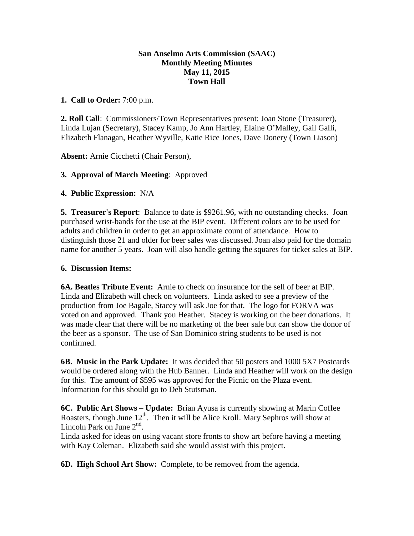## **San Anselmo Arts Commission (SAAC) Monthly Meeting Minutes May 11, 2015 Town Hall**

## **1. Call to Order:** 7:00 p.m.

**2. Roll Call**: Commissioners/Town Representatives present: Joan Stone (Treasurer), Linda Lujan (Secretary), Stacey Kamp, Jo Ann Hartley, Elaine O'Malley, Gail Galli, Elizabeth Flanagan, Heather Wyville, Katie Rice Jones, Dave Donery (Town Liason)

**Absent:** Arnie Cicchetti (Chair Person),

# **3. Approval of March Meeting**: Approved

# **4. Public Expression:** N/A

**5. Treasurer's Report**: Balance to date is \$9261.96, with no outstanding checks. Joan purchased wrist-bands for the use at the BIP event. Different colors are to be used for adults and children in order to get an approximate count of attendance. How to distinguish those 21 and older for beer sales was discussed. Joan also paid for the domain name for another 5 years. Joan will also handle getting the squares for ticket sales at BIP.

## **6. Discussion Items:**

**6A. Beatles Tribute Event:** Arnie to check on insurance for the sell of beer at BIP. Linda and Elizabeth will check on volunteers. Linda asked to see a preview of the production from Joe Bagale, Stacey will ask Joe for that. The logo for FORVA was voted on and approved. Thank you Heather. Stacey is working on the beer donations. It was made clear that there will be no marketing of the beer sale but can show the donor of the beer as a sponsor. The use of San Dominico string students to be used is not confirmed.

**6B. Music in the Park Update:** It was decided that 50 posters and 1000 5X7 Postcards would be ordered along with the Hub Banner. Linda and Heather will work on the design for this. The amount of \$595 was approved for the Picnic on the Plaza event. Information for this should go to Deb Stutsman.

**6C. Public Art Shows – Update:** Brian Ayusa is currently showing at Marin Coffee Roasters, though June 12<sup>th</sup>. Then it will be Alice Kroll. Mary Sephros will show at Lincoln Park on June  $2<sup>nd</sup>$ .

Linda asked for ideas on using vacant store fronts to show art before having a meeting with Kay Coleman. Elizabeth said she would assist with this project.

**6D. High School Art Show:** Complete, to be removed from the agenda.